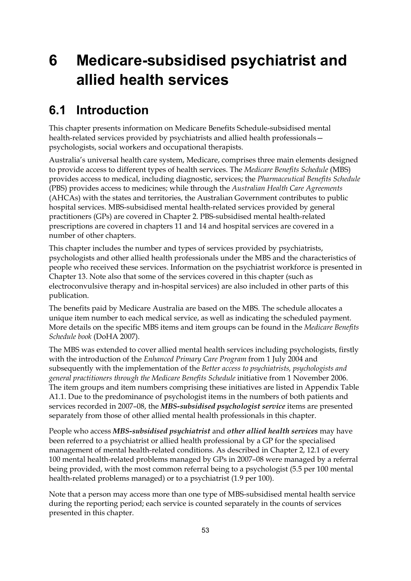# **6 Medicare-subsidised psychiatrist and allied health services**

### **6.1 Introduction**

This chapter presents information on Medicare Benefits Schedule-subsidised mental health-related services provided by psychiatrists and allied health professionals psychologists, social workers and occupational therapists.

Australia's universal health care system, Medicare, comprises three main elements designed to provide access to different types of health services. The *Medicare Benefits Schedule* (MBS) provides access to medical, including diagnostic, services; the *Pharmaceutical Benefits Schedule*  (PBS) provides access to medicines; while through the *Australian Health Care Agreements* (AHCAs) with the states and territories, the Australian Government contributes to public hospital services. MBS-subsidised mental health-related services provided by general practitioners (GPs) are covered in Chapter 2. PBS-subsidised mental health-related prescriptions are covered in chapters 11 and 14 and hospital services are covered in a number of other chapters.

This chapter includes the number and types of services provided by psychiatrists, psychologists and other allied health professionals under the MBS and the characteristics of people who received these services. Information on the psychiatrist workforce is presented in Chapter 13. Note also that some of the services covered in this chapter (such as electroconvulsive therapy and in-hospital services) are also included in other parts of this publication.

The benefits paid by Medicare Australia are based on the MBS. The schedule allocates a unique item number to each medical service, as well as indicating the scheduled payment. More details on the specific MBS items and item groups can be found in the *Medicare Benefits Schedule book* (DoHA 2007).

The MBS was extended to cover allied mental health services including psychologists, firstly with the introduction of the *Enhanced Primary Care Program* from 1 July 2004 and subsequently with the implementation of the *Better access to psychiatrists, psychologists and general practitioners through the Medicare Benefits Schedule* initiative from 1 November 2006. The item groups and item numbers comprising these initiatives are listed in Appendix Table A1.1. Due to the predominance of psychologist items in the numbers of both patients and services recorded in 2007–08, the *MBS-subsidised psychologist service* items are presented separately from those of other allied mental health professionals in this chapter.

People who access *MBS-subsidised psychiatrist* and *other allied health services* may have been referred to a psychiatrist or allied health professional by a GP for the specialised management of mental health-related conditions. As described in Chapter 2, 12.1 of every 100 mental health-related problems managed by GPs in 2007–08 were managed by a referral being provided, with the most common referral being to a psychologist (5.5 per 100 mental health-related problems managed) or to a psychiatrist (1.9 per 100).

Note that a person may access more than one type of MBS-subsidised mental health service during the reporting period; each service is counted separately in the counts of services presented in this chapter.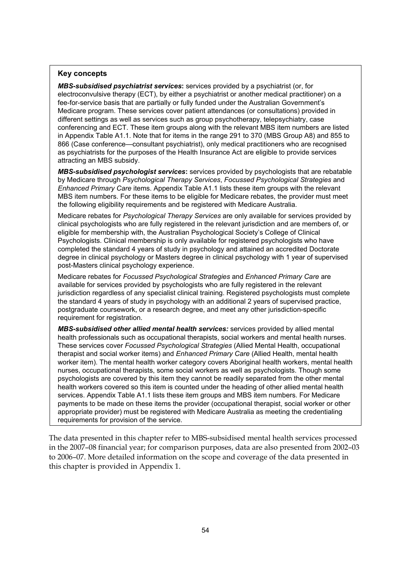#### **Key concepts**

*MBS-subsidised psychiatrist services***:** services provided by a psychiatrist (or, for electroconvulsive therapy (ECT), by either a psychiatrist or another medical practitioner) on a fee-for-service basis that are partially or fully funded under the Australian Government's Medicare program. These services cover patient attendances (or consultations) provided in different settings as well as services such as group psychotherapy, telepsychiatry, case conferencing and ECT. These item groups along with the relevant MBS item numbers are listed in Appendix Table A1.1. Note that for items in the range 291 to 370 (MBS Group A8) and 855 to 866 (Case conference—consultant psychiatrist), only medical practitioners who are recognised as psychiatrists for the purposes of the Health Insurance Act are eligible to provide services attracting an MBS subsidy.

*MBS-subsidised psychologist services***:** services provided by psychologists that are rebatable by Medicare through *Psychological Therapy Services*, *Focussed Psychological Strategies* and *Enhanced Primary Care* items. Appendix Table A1.1 lists these item groups with the relevant MBS item numbers. For these items to be eligible for Medicare rebates, the provider must meet the following eligibility requirements and be registered with Medicare Australia.

Medicare rebates for *Psychological Therapy Services* are only available for services provided by clinical psychologists who are fully registered in the relevant jurisdiction and are members of, or eligible for membership with, the Australian Psychological Society's College of Clinical Psychologists. Clinical membership is only available for registered psychologists who have completed the standard 4 years of study in psychology and attained an accredited Doctorate degree in clinical psychology or Masters degree in clinical psychology with 1 year of supervised post-Masters clinical psychology experience.

Medicare rebates for *Focussed Psychological Strategies* and *Enhanced Primary Care* are available for services provided by psychologists who are fully registered in the relevant jurisdiction regardless of any specialist clinical training. Registered psychologists must complete the standard 4 years of study in psychology with an additional 2 years of supervised practice, postgraduate coursework, or a research degree, and meet any other jurisdiction-specific requirement for registration.

*MBS-subsidised other allied mental health services:* services provided by allied mental health professionals such as occupational therapists, social workers and mental health nurses. These services cover *Focussed Psychological Strategies* (Allied Mental Health, occupational therapist and social worker items) and *Enhanced Primary Care* (Allied Health, mental health worker item). The mental health worker category covers Aboriginal health workers, mental health nurses, occupational therapists, some social workers as well as psychologists. Though some psychologists are covered by this item they cannot be readily separated from the other mental health workers covered so this item is counted under the heading of other allied mental health services. Appendix Table A1.1 lists these item groups and MBS item numbers. For Medicare payments to be made on these items the provider (occupational therapist, social worker or other appropriate provider) must be registered with Medicare Australia as meeting the credentialing requirements for provision of the service.

The data presented in this chapter refer to MBS-subsidised mental health services processed in the 2007–08 financial year; for comparison purposes, data are also presented from 2002–03 to 2006–07. More detailed information on the scope and coverage of the data presented in this chapter is provided in Appendix 1.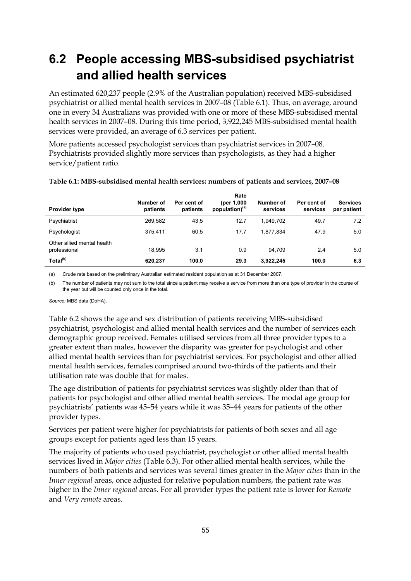## **6.2 People accessing MBS-subsidised psychiatrist and allied health services**

An estimated 620,237 people (2.9% of the Australian population) received MBS-subsidised psychiatrist or allied mental health services in 2007–08 (Table 6.1). Thus, on average, around one in every 34 Australians was provided with one or more of these MBS-subsidised mental health services in 2007–08. During this time period, 3,922,245 MBS-subsidised mental health services were provided, an average of 6.3 services per patient.

More patients accessed psychologist services than psychiatrist services in 2007–08. Psychiatrists provided slightly more services than psychologists, as they had a higher service/patient ratio.

| <b>Provider type</b>                       | Number of<br>patients | Per cent of<br>patients | Rate<br>(per 1,000)<br>population) <sup>(a)</sup> | Number of<br>services | Per cent of<br>services | <b>Services</b><br>per patient |
|--------------------------------------------|-----------------------|-------------------------|---------------------------------------------------|-----------------------|-------------------------|--------------------------------|
| Psychiatrist                               | 269,582               | 43.5                    | 12.7                                              | 1.949.702             | 49.7                    | 7.2                            |
| Psychologist                               | 375.411               | 60.5                    | 17.7                                              | 1.877.834             | 47.9                    | 5.0                            |
| Other allied mental health<br>professional | 18.995                | 3.1                     | 0.9                                               | 94.709                | 2.4                     | 5.0                            |
| Total <sup>(b)</sup>                       | 620.237               | 100.0                   | 29.3                                              | 3,922,245             | 100.0                   | 6.3                            |

#### **Table 6.1: MBS-subsidised mental health services: numbers of patients and services, 2007–08**

(a) Crude rate based on the preliminary Australian estimated resident population as at 31 December 2007.

(b) The number of patients may not sum to the total since a patient may receive a service from more than one type of provider in the course of the year but will be counted only once in the total.

*Source:* MBS data (DoHA).

Table 6.2 shows the age and sex distribution of patients receiving MBS-subsidised psychiatrist, psychologist and allied mental health services and the number of services each demographic group received. Females utilised services from all three provider types to a greater extent than males, however the disparity was greater for psychologist and other allied mental health services than for psychiatrist services. For psychologist and other allied mental health services, females comprised around two-thirds of the patients and their utilisation rate was double that for males.

The age distribution of patients for psychiatrist services was slightly older than that of patients for psychologist and other allied mental health services. The modal age group for psychiatrists' patients was 45–54 years while it was 35–44 years for patients of the other provider types.

Services per patient were higher for psychiatrists for patients of both sexes and all age groups except for patients aged less than 15 years.

The majority of patients who used psychiatrist, psychologist or other allied mental health services lived in *Major cities* (Table 6.3). For other allied mental health services, while the numbers of both patients and services was several times greater in the *Major cities* than in the *Inner regional* areas, once adjusted for relative population numbers, the patient rate was higher in the *Inner regional* areas. For all provider types the patient rate is lower for *Remote* and *Very remote* areas.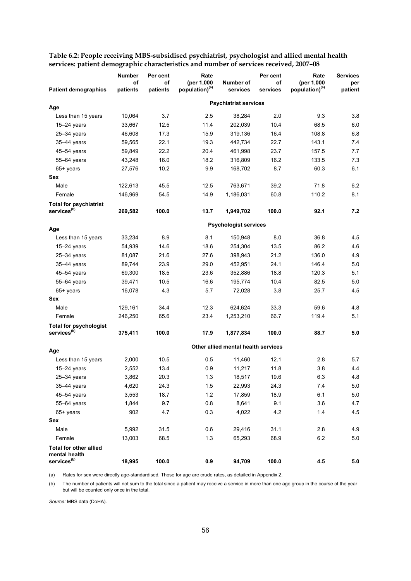|                                                          | <b>Number</b> | Per cent | Rate                       |                                     | Per cent | Rate                       | <b>Services</b> |
|----------------------------------------------------------|---------------|----------|----------------------------|-------------------------------------|----------|----------------------------|-----------------|
|                                                          | οf            | of       | (per 1,000                 | Number of                           | of       | (per 1,000                 | per             |
| <b>Patient demographics</b>                              | patients      | patients | population) <sup>(a)</sup> | services                            | services | population) <sup>(a)</sup> | patient         |
| Age                                                      |               |          |                            | <b>Psychiatrist services</b>        |          |                            |                 |
| Less than 15 years                                       | 10,064        | 3.7      | 2.5                        | 38,284                              | 2.0      | 9.3                        | 3.8             |
| $15 - 24$ years                                          | 33,667        | 12.5     | 11.4                       | 202,039                             | 10.4     | 68.5                       | 6.0             |
| $25 - 34$ years                                          | 46,608        | 17.3     | 15.9                       | 319,136                             | 16.4     | 108.8                      | 6.8             |
| $35-44$ years                                            | 59,565        | 22.1     | 19.3                       | 442,734                             | 22.7     | 143.1                      | 7.4             |
| 45-54 years                                              | 59,849        | 22.2     | 20.4                       | 461,998                             | 23.7     | 157.5                      | 7.7             |
| 55-64 years                                              | 43,248        | 16.0     | 18.2                       | 316,809                             | 16.2     | 133.5                      | 7.3             |
| $65+$ years                                              | 27,576        | 10.2     | 9.9                        | 168,702                             | 8.7      | 60.3                       | 6.1             |
| Sex                                                      |               |          |                            |                                     |          |                            |                 |
| Male                                                     | 122,613       | 45.5     | 12.5                       | 763,671                             | 39.2     | 71.8                       | 6.2             |
| Female                                                   | 146,969       | 54.5     | 14.9                       | 1,186,031                           | 60.8     | 110.2                      | 8.1             |
| <b>Total for psychiatrist</b>                            |               |          |                            |                                     |          |                            |                 |
| services <sup>(b)</sup>                                  | 269,582       | 100.0    | 13.7                       | 1,949,702                           | 100.0    | 92.1                       | 7.2             |
|                                                          |               |          |                            | <b>Psychologist services</b>        |          |                            |                 |
| Age                                                      |               |          |                            |                                     |          |                            |                 |
| Less than 15 years                                       | 33,234        | 8.9      | 8.1                        | 150,948                             | 8.0      | 36.8                       | 4.5             |
| $15-24$ years                                            | 54,939        | 14.6     | 18.6                       | 254,304                             | 13.5     | 86.2                       | 4.6             |
| $25 - 34$ years                                          | 81,087        | 21.6     | 27.6                       | 398,943                             | 21.2     | 136.0                      | 4.9             |
| 35-44 years                                              | 89,744        | 23.9     | 29.0                       | 452,951                             | 24.1     | 146.4                      | 5.0             |
| $45 - 54$ years                                          | 69,300        | 18.5     | 23.6                       | 352,886                             | 18.8     | 120.3                      | 5.1             |
| 55-64 years                                              | 39,471        | 10.5     | 16.6                       | 195,774                             | 10.4     | 82.5                       | 5.0             |
| $65+$ years<br>Sex                                       | 16,078        | 4.3      | 5.7                        | 72,028                              | 3.8      | 25.7                       | 4.5             |
| Male                                                     | 129,161       | 34.4     | 12.3                       | 624,624                             | 33.3     | 59.6                       | 4.8             |
| Female                                                   | 246,250       | 65.6     | 23.4                       | 1,253,210                           | 66.7     | 119.4                      | 5.1             |
|                                                          |               |          |                            |                                     |          |                            |                 |
| <b>Total for psychologist</b><br>services <sup>(b)</sup> | 375,411       | 100.0    | 17.9                       | 1,877,834                           | 100.0    | 88.7                       | 5.0             |
|                                                          |               |          |                            | Other allied mental health services |          |                            |                 |
| Age<br>Less than 15 years                                | 2,000         | 10.5     | 0.5                        | 11,460                              | 12.1     | 2.8                        | 5.7             |
| $15 - 24$ years                                          | 2,552         | 13.4     | 0.9                        | 11,217                              | 11.8     | 3.8                        | 4.4             |
| 25-34 years                                              | 3,862         | 20.3     | $1.3$                      | 18,517                              | 19.6     | 6.3                        | 4.8             |
| $35-44$ years                                            | 4,620         | 24.3     | 1.5                        | 22,993                              | 24.3     | 7.4                        | 5.0             |
| 45-54 years                                              | 3,553         | 18.7     | 1.2                        | 17,859                              | 18.9     | 6.1                        | 5.0             |
| 55-64 years                                              | 1,844         | 9.7      | 0.8                        | 8,641                               | 9.1      | 3.6                        | 4.7             |
| 65+ years                                                | 902           | 4.7      | 0.3                        | 4,022                               | 4.2      | 1.4                        | 4.5             |
| Sex                                                      |               |          |                            |                                     |          |                            |                 |
| Male                                                     | 5,992         | 31.5     | 0.6                        | 29,416                              | 31.1     | 2.8                        | 4.9             |
| Female                                                   | 13,003        | 68.5     | 1.3                        | 65,293                              | 68.9     | $6.2\,$                    | 5.0             |
| <b>Total for other allied</b><br>mental health           |               |          |                            |                                     |          |                            |                 |
| services <sup>(b)</sup>                                  | 18,995        | 100.0    | 0.9                        | 94,709                              | 100.0    | 4.5                        | 5.0             |

**Table 6.2: People receiving MBS-subsidised psychiatrist, psychologist and allied mental health services: patient demographic characteristics and number of services received, 2007–08** 

(a) Rates for sex were directly age-standardised. Those for age are crude rates, as detailed in Appendix 2.

(b) The number of patients will not sum to the total since a patient may receive a service in more than one age group in the course of the year but will be counted only once in the total.

*Source:* MBS data (DoHA).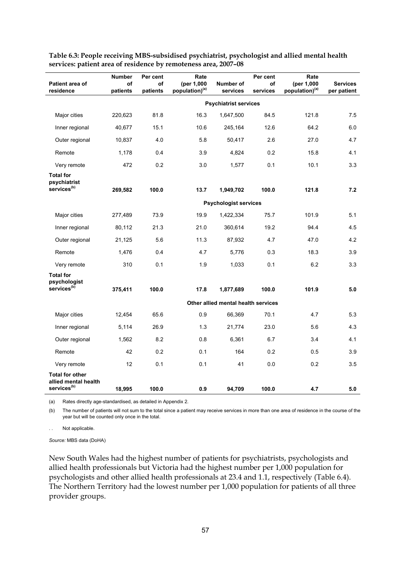| Patient area of<br>residence                                              | Number<br>of<br>patients | Per cent<br>of<br>patients | Rate<br>(per 1,000<br>population) <sup>(a)</sup> | Number of<br>services               | Per cent<br>of<br>services | Rate<br>(per 1,000<br>population) <sup>(a)</sup> | <b>Services</b><br>per patient |
|---------------------------------------------------------------------------|--------------------------|----------------------------|--------------------------------------------------|-------------------------------------|----------------------------|--------------------------------------------------|--------------------------------|
|                                                                           |                          |                            |                                                  | <b>Psychiatrist services</b>        |                            |                                                  |                                |
| Major cities                                                              | 220,623                  | 81.8                       | 16.3                                             | 1,647,500                           | 84.5                       | 121.8                                            | 7.5                            |
| Inner regional                                                            | 40,677                   | 15.1                       | 10.6                                             | 245,164                             | 12.6                       | 64.2                                             | 6.0                            |
| Outer regional                                                            | 10,837                   | 4.0                        | 5.8                                              | 50,417                              | 2.6                        | 27.0                                             | 4.7                            |
| Remote                                                                    | 1,178                    | 0.4                        | 3.9                                              | 4,824                               | 0.2                        | 15.8                                             | 4.1                            |
| Very remote                                                               | 472                      | 0.2                        | 3.0                                              | 1,577                               | 0.1                        | 10.1                                             | 3.3                            |
| <b>Total for</b><br>psychiatrist<br>services <sup>(b)</sup>               | 269,582                  | 100.0                      | 13.7                                             | 1,949,702                           | 100.0                      | 121.8                                            | 7.2                            |
|                                                                           |                          |                            |                                                  | <b>Psychologist services</b>        |                            |                                                  |                                |
| Major cities                                                              | 277,489                  | 73.9                       | 19.9                                             | 1,422,334                           | 75.7                       | 101.9                                            | 5.1                            |
| Inner regional                                                            | 80,112                   | 21.3                       | 21.0                                             | 360,614                             | 19.2                       | 94.4                                             | 4.5                            |
| Outer regional                                                            | 21,125                   | 5.6                        | 11.3                                             | 87,932                              | 4.7                        | 47.0                                             | 4.2                            |
| Remote                                                                    | 1,476                    | 0.4                        | 4.7                                              | 5,776                               | 0.3                        | 18.3                                             | 3.9                            |
| Very remote                                                               | 310                      | 0.1                        | 1.9                                              | 1,033                               | 0.1                        | 6.2                                              | 3.3                            |
| <b>Total for</b><br>psychologist<br>services <sup>(b)</sup>               | 375,411                  | 100.0                      | 17.8                                             | 1,877,689                           | 100.0                      | 101.9                                            | 5.0                            |
|                                                                           |                          |                            |                                                  | Other allied mental health services |                            |                                                  |                                |
| Major cities                                                              | 12,454                   | 65.6                       | 0.9                                              | 66,369                              | 70.1                       | 4.7                                              | 5.3                            |
| Inner regional                                                            | 5,114                    | 26.9                       | 1.3                                              | 21,774                              | 23.0                       | 5.6                                              | 4.3                            |
| Outer regional                                                            | 1,562                    | 8.2                        | 0.8                                              | 6,361                               | 6.7                        | 3.4                                              | 4.1                            |
| Remote                                                                    | 42                       | 0.2                        | 0.1                                              | 164                                 | 0.2                        | 0.5                                              | 3.9                            |
| Very remote                                                               | 12                       | 0.1                        | 0.1                                              | 41                                  | 0.0                        | 0.2                                              | 3.5                            |
| <b>Total for other</b><br>allied mental health<br>services <sup>(b)</sup> | 18,995                   | 100.0                      | 0.9                                              | 94,709                              | 100.0                      | 4.7                                              | 5.0                            |

**Table 6.3: People receiving MBS-subsidised psychiatrist, psychologist and allied mental health services: patient area of residence by remoteness area, 2007–08** 

(a) Rates directly age-standardised, as detailed in Appendix 2.

(b) The number of patients will not sum to the total since a patient may receive services in more than one area of residence in the course of the year but will be counted only once in the total.

Not applicable.

*Source:* MBS data (DoHA)

New South Wales had the highest number of patients for psychiatrists, psychologists and allied health professionals but Victoria had the highest number per 1,000 population for psychologists and other allied health professionals at 23.4 and 1.1, respectively (Table 6.4). The Northern Territory had the lowest number per 1,000 population for patients of all three provider groups.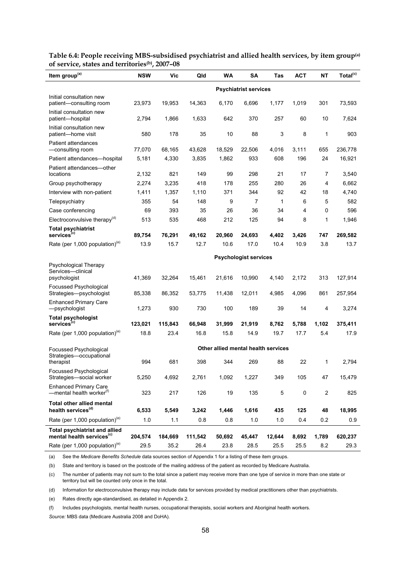| Total <sup>(c)</sup><br>Item group <sup>(a)</sup>                                                                                                              |         |
|----------------------------------------------------------------------------------------------------------------------------------------------------------------|---------|
| <b>Psychiatrist services</b>                                                                                                                                   |         |
| Initial consultation new<br>19,953<br>14,363<br>6,170<br>6,696<br>1,177<br>1,019<br>301<br>23,973<br>patient-consulting room                                   | 73,593  |
| Initial consultation new<br>1,866<br>1,633<br>370<br>257<br>60<br>10<br>2,794<br>642<br>patient-hospital                                                       | 7,624   |
| Initial consultation new<br>3<br>580<br>178<br>35<br>10<br>88<br>8<br>1<br>patient-home visit                                                                  | 903     |
| Patient attendances<br>77,070<br>68,165<br>43,628<br>655<br>-consulting room<br>18,529<br>22,506<br>4,016<br>3,111                                             | 236,778 |
| 4,330<br>3,835<br>1,862<br>933<br>608<br>196<br>24<br>5,181<br>Patient attendances—hospital                                                                    | 16,921  |
| Patient attendances-other<br>821<br>149<br>99<br>298<br>21<br>2,132<br>17<br>7<br>locations                                                                    | 3,540   |
| 3,235<br>418<br>178<br>255<br>280<br>26<br>4<br>Group psychotherapy<br>2,274                                                                                   | 6,662   |
| 1,357<br>371<br>92<br>42<br>Interview with non-patient<br>1,411<br>1,110<br>344<br>18                                                                          | 4,740   |
| 355<br>54<br>148<br>9<br>1<br>6<br>5<br>Telepsychiatry<br>7                                                                                                    | 582     |
| 393<br>69<br>35<br>26<br>36<br>34<br>4<br>0<br>Case conferencing                                                                                               | 596     |
| Electroconvulsive therapy <sup>(d)</sup><br>212<br>513<br>535<br>468<br>125<br>94<br>8<br>1                                                                    | 1,946   |
| <b>Total psychiatrist</b>                                                                                                                                      |         |
| services <sup>(c)</sup><br>89,754<br>76,291<br>49,162<br>20,960<br>24,693<br>4,402<br>3,426<br>747                                                             | 269,582 |
| Rate (per 1,000 population) <sup>(e)</sup><br>15.7<br>13.9<br>12.7<br>10.6<br>17.0<br>10.4<br>10.9<br>3.8                                                      | 13.7    |
| <b>Psychologist services</b>                                                                                                                                   |         |
| Psychological Therapy                                                                                                                                          |         |
| Services—clinical<br>32,264<br>21,616<br>10,990<br>2,172<br>313<br>41,369<br>15,461<br>4,140<br>psychologist                                                   | 127,914 |
| Focussed Psychological<br>86,352<br>53,775<br>11,438<br>12,011<br>4,985<br>4,096<br>861<br>Strategies-psychologist<br>85,338                                   | 257,954 |
| <b>Enhanced Primary Care</b><br>1,273<br>930<br>730<br>100<br>189<br>39<br>14<br>-psychologist<br>4                                                            | 3,274   |
| <b>Total psychologist</b><br>services <sup>(c)</sup><br>123,021<br>115,843<br>66,948<br>31,999<br>8,762<br>1,102<br>21,919<br>5,788                            | 375,411 |
| Rate (per 1,000 population) <sup>(e)</sup><br>18.8<br>23.4<br>16.8<br>15.8<br>14.9<br>19.7<br>17.7<br>5.4                                                      | 17.9    |
| Other allied mental health services<br>Focussed Psychological                                                                                                  |         |
| Strategies-occupational<br>681<br>398<br>269<br>88<br>22<br>994<br>344<br>1<br>therapist                                                                       | 2,794   |
| Focussed Psychological<br>4,692<br>2,761<br>1,227<br>Strategies-social worker<br>5,250<br>1,092<br>349<br>105<br>47                                            | 15,479  |
| <b>Enhanced Primary Care</b><br>-mental health worker <sup>(f)</sup><br>217<br>5<br>0<br>2<br>323<br>126<br>19<br>135                                          | 825     |
| <b>Total other allied mental</b>                                                                                                                               |         |
| health services <sup>(d)</sup><br>6,533<br>125<br>5,549<br>3,242<br>1,446<br>1,616<br>435<br>48                                                                | 18,995  |
| Rate (per 1,000 population) <sup>(e)</sup><br>1.0<br>1.1<br>0.8<br>0.8<br>1.0<br>1.0<br>0.4<br>0.2                                                             | $0.9\,$ |
| <b>Total psychiatrist and allied</b><br>mental health services <sup>(c)</sup><br>204,574<br>184,669<br>111,542<br>50,692<br>45,447<br>12,644<br>8,692<br>1,789 | 620,237 |
| Rate (per 1,000 population) <sup>(e)</sup><br>35.2<br>8.2<br>29.5<br>26.4<br>23.8<br>28.5<br>25.5<br>25.5                                                      | 29.3    |

**Table 6.4: People receiving MBS-subsidised psychiatrist and allied health services, by item group(a) of service, states and territories(b), 2007–08** 

(a) See the *Medicare Benefits Schedule* data sources section of Appendix 1 for a listing of these item groups.

(b) State and territory is based on the postcode of the mailing address of the patient as recorded by Medicare Australia.

(c) The number of patients may not sum to the total since a patient may receive more than one type of service in more than one state or territory but will be counted only once in the total.

(d) Information for electroconvulsive therapy may include data for services provided by medical practitioners other than psychiatrists.

(e) Rates directly age-standardised, as detailed in Appendix 2.

(f) Includes psychologists, mental health nurses, occupational therapists, social workers and Aboriginal health workers.

*Source:* MBS data (Medicare Australia 2008 and DoHA).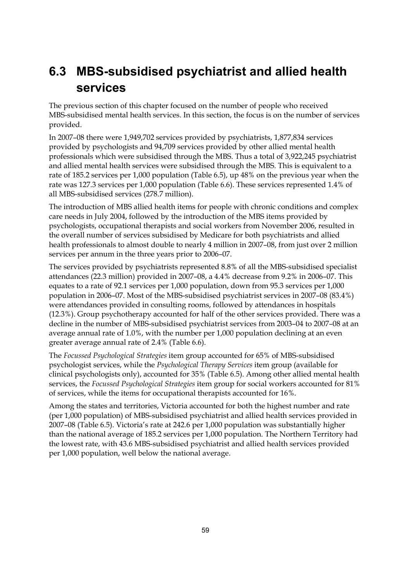## **6.3 MBS-subsidised psychiatrist and allied health services**

The previous section of this chapter focused on the number of people who received MBS-subsidised mental health services. In this section, the focus is on the number of services provided.

In 2007–08 there were 1,949,702 services provided by psychiatrists, 1,877,834 services provided by psychologists and 94,709 services provided by other allied mental health professionals which were subsidised through the MBS. Thus a total of 3,922,245 psychiatrist and allied mental health services were subsidised through the MBS. This is equivalent to a rate of 185.2 services per 1,000 population (Table 6.5), up 48% on the previous year when the rate was 127.3 services per 1,000 population (Table 6.6). These services represented 1.4% of all MBS-subsidised services (278.7 million).

The introduction of MBS allied health items for people with chronic conditions and complex care needs in July 2004, followed by the introduction of the MBS items provided by psychologists, occupational therapists and social workers from November 2006, resulted in the overall number of services subsidised by Medicare for both psychiatrists and allied health professionals to almost double to nearly 4 million in 2007–08, from just over 2 million services per annum in the three years prior to 2006–07.

The services provided by psychiatrists represented 8.8% of all the MBS-subsidised specialist attendances (22.3 million) provided in 2007–08, a 4.4% decrease from 9.2% in 2006–07. This equates to a rate of 92.1 services per 1,000 population, down from 95.3 services per 1,000 population in 2006–07. Most of the MBS-subsidised psychiatrist services in 2007–08 (83.4%) were attendances provided in consulting rooms, followed by attendances in hospitals (12.3%). Group psychotherapy accounted for half of the other services provided. There was a decline in the number of MBS-subsidised psychiatrist services from 2003–04 to 2007–08 at an average annual rate of 1.0%, with the number per 1,000 population declining at an even greater average annual rate of 2.4% (Table 6.6).

The *Focussed Psychological Strategies* item group accounted for 65% of MBS-subsidised psychologist services, while the *Psychological Therapy Services* item group (available for clinical psychologists only), accounted for 35% (Table 6.5). Among other allied mental health services, the *Focussed Psychological Strategies* item group for social workers accounted for 81% of services, while the items for occupational therapists accounted for 16%.

Among the states and territories, Victoria accounted for both the highest number and rate (per 1,000 population) of MBS-subsidised psychiatrist and allied health services provided in 2007–08 (Table 6.5). Victoria's rate at 242.6 per 1,000 population was substantially higher than the national average of 185.2 services per 1,000 population. The Northern Territory had the lowest rate, with 43.6 MBS-subsidised psychiatrist and allied health services provided per 1,000 population, well below the national average.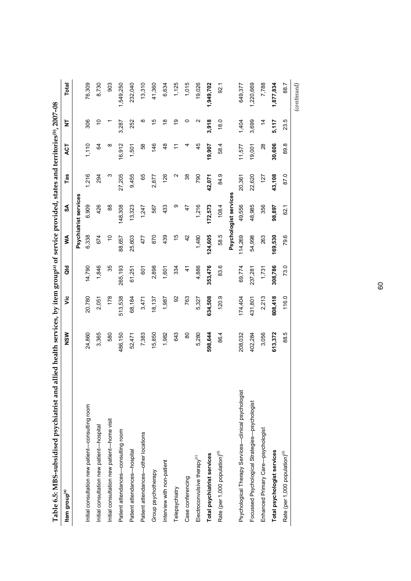| Tanne o.y. Indeed been pointed in the same of $\sim$ | annea meann sei heill Brond Di Den Brond Di Den Brond Die Press versie eine eine eine eine Schlesche Englanden |         |               |               |                       |                   |                |               |             |
|------------------------------------------------------|----------------------------------------------------------------------------------------------------------------|---------|---------------|---------------|-----------------------|-------------------|----------------|---------------|-------------|
| Item group <sup>(a)</sup>                            | NSW                                                                                                            | ئا      | $\frac{d}{d}$ | ⋚             | S                     | Tas               | ACT            | Ż             | Total       |
|                                                      |                                                                                                                |         |               |               | Psychiatrist services |                   |                |               |             |
| Initial consultation new patient-consulting room     | 24,860                                                                                                         | 20,780  | 14,790        | 6,338         | 6,909                 | 1,216             | 1,110          | 306           | 76,309      |
| Initial consultation new patient-hospital            | 3,365                                                                                                          | 2,051   | 1,846         | 674           | 426                   | 294               | 64             | $\frac{1}{2}$ | 8,730       |
| Initial consultation new patient-home visit          | 580                                                                                                            | 178     | 35            | ó             | 88                    | ω                 | $\infty$       |               | 903         |
| Patient attendances-consulting room                  | 486,150                                                                                                        | 513,538 | 265,193       | 88,657        | 148,308               | 27,205            | 16,912         | 3,287         | 1,549,250   |
| Patient attendances-hospital                         | 52,471                                                                                                         | 68,184  | 61,251        | 25,603        | 13,323                | 9,455             | 1,501          | 252           | 232,040     |
| Patient attendances-other locations                  | 7,383                                                                                                          | 3,471   | 601           | 477           | 1,247                 | 65                | 89             | ∞             | 13,310      |
| Group psychotherapy                                  | 15,850                                                                                                         | 18,137  | 2,898         | 870           | 567                   | 2,877             | 146            | 15            | 41,360      |
| Interview with non-patient                           | 1,982                                                                                                          | 1,987   | 1,601         | 439           | 433                   | 126               | 48             | $\frac{8}{1}$ | 6,634       |
| Telepsychiatry                                       | 643                                                                                                            | 92      | 334           | $\frac{1}{2}$ | တ                     | $\mathbf{\Omega}$ | $\tilde{\tau}$ | é,            | 1,125       |
| Case conferencing                                    | 80                                                                                                             | 763     | $\frac{4}{3}$ | $\frac{2}{3}$ | 47                    | 38                |                | 0             | 1,015       |
| Electroconvulsive therapy <sup>(c)</sup>             | 5,280                                                                                                          | 5,327   | 4,886         | 1,480         | 1,216                 | 790               | 45             | N             | 19,026      |
| Total psychiatrist services                          | 598,644                                                                                                        | 634,508 | 353,476       | 124,605       | 172,573               | 42,071            | 19,907         | 3,918         | 1,949,702   |
| Rate (per 1,000 population) <sup>(d)</sup>           | 86.4                                                                                                           | 120.9   | 83.6          | 58.5          | 108.4                 | 84.9              | 58.4           | 18.0          | 92.1        |
|                                                      |                                                                                                                |         |               |               | Psychologist services |                   |                |               |             |
| Psychological Therapy Services-clinical psychologist | 208,032                                                                                                        | 174,404 | 69,774        | 114,269       | 49,556                | 20,361            | 11,577         | 1,404         | 649,377     |
| Focussed Psychological Strategies-psychologist       | 402,284                                                                                                        | 431,801 | 237,281       | 54,998        | 48,985                | 22,620            | 19,001         | 3,699         | 1,220,669   |
| Enhanced Primary Care-psychologist                   | 3,056                                                                                                          | 2,213   | 1,731         | 263           | 356                   | 127               | 28             | $\frac{4}{3}$ | 7,788       |
| Total psychologist services                          | 613,372                                                                                                        | 608,418 | 308,786       | 169,530       | 98,897                | 43,108            | 30,606         | 5,117         | 1,877,834   |
| Rate (per 1,000 population) <sup>(d)</sup>           | 88.5                                                                                                           | 116.0   | 73.0          | 79.6          | 62.1                  | 87.0              | 89.8           | 23.5          | 88.7        |
|                                                      |                                                                                                                |         |               |               |                       |                   |                |               | (continued) |

Table 6.5: MBS-subsidised psychiatrist and allied health services, by item group® of service provided, states and territories®, 2007-08 **Table 6.5: MBS-subsidised psychiatrist and allied health services, by item group(a) of service provided, states and territories(b), 2007–08** 

60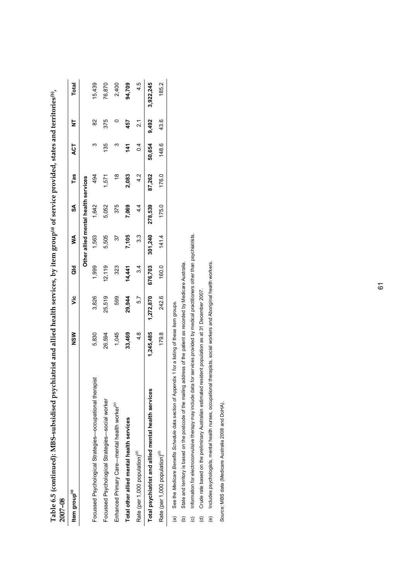| contract is the contract of the contract of the second contract of the second second second second second second second second second second second second second second second second second second second second second seco<br>2007-08 | $\sim$ and the statement of the set $\lambda$ in the set $\lambda$ in the set $\lambda$ is the set $\lambda$ in the set $\lambda$ is and the set $\lambda$ |           |         |         |                                     |               |               |             |              |
|-------------------------------------------------------------------------------------------------------------------------------------------------------------------------------------------------------------------------------------------|------------------------------------------------------------------------------------------------------------------------------------------------------------|-----------|---------|---------|-------------------------------------|---------------|---------------|-------------|--------------|
| Item group <sup>(a)</sup>                                                                                                                                                                                                                 | NSM                                                                                                                                                        | ۊ         | a<br>G  | ≸       | వ్                                  | Tas           | ACT           | ₹           | <b>Total</b> |
|                                                                                                                                                                                                                                           |                                                                                                                                                            |           |         |         | Other allied mental health services |               |               |             |              |
| apist<br>Focussed Psychological Strategies-cocupational ther                                                                                                                                                                              | 5,830                                                                                                                                                      | 3,826     | 1,999   | 1,563   | 1,642                               | 494           | ო             | 82          | 15,439       |
| Focussed Psychological Strategies-social worker                                                                                                                                                                                           | 26,594                                                                                                                                                     | 25,519    | 12,119  | 5.505   | 5,052                               | 1,571         | 135           | 375         | 76,870       |
| Enhanced Primary Care-mental health worker <sup>(e)</sup>                                                                                                                                                                                 | 1,045                                                                                                                                                      | 599       | 323     | 57      | 375                                 | $\frac{8}{1}$ |               |             | 2,400        |
| Total other allied mental health services                                                                                                                                                                                                 | 33,469                                                                                                                                                     | 29,944    | 14,441  | 7,105   | 7,069                               | 2,083         | 141           | 457         | 94,709       |
| Rate (per 1,000 population) <sup>(c)</sup>                                                                                                                                                                                                | $\frac{8}{4}$                                                                                                                                              | 57        | 3.4     | 3.3     | 4.4                                 | 4.2           | $\frac{4}{1}$ | $\tilde{2}$ | 4.5          |
| Total psychiatrist and allied mental health services                                                                                                                                                                                      | 1,245,485                                                                                                                                                  | 1,272,870 | 676,703 | 301,240 | 278,539                             | 87,262        | 50,654        | 9,492       | 3,922,245    |
| Rate (per 1,000 population) <sup>(a)</sup>                                                                                                                                                                                                | 179.8                                                                                                                                                      | 242.6     | 160.0   | 141.4   | 175.0                               | 176.0         | 148.6         | 43.6        | 185.2        |
| See the Medicare Benefits Schedule data section of Appendix 1 for a listing of these item groups.<br>$\widehat{\mathbf{a}}$                                                                                                               |                                                                                                                                                            |           |         |         |                                     |               |               |             |              |

**Table 6.5 (continued): MBS-subsidised psychiatrist and allied health services, by item group(a) of service provided, states and territories(b),**  Table 6.5 (continued): MBS-subsidised psychiatrist and allied health services, by item group<sup>(a)</sup> of service provided, states and territories<sup>(b)</sup>.

(a) See the *Medicare Benefits Schedule* data section of Appendix 1 for a listing of these item groups.

(b) State and territory is based on the postcode of the mailing address of the patient as recorded by Medicare Australia.

(a) See the *Medicare Benerits Schedul*e data section of Appendix 1 for a listing of these tiem groups.<br>(b) State and territory is based on the postcode of the mailing address of the patient as recorded by Medicare Austral (c) Information for electroconvulsive therapy may include data for services provided by medical practitioners other than psychiatrists.

(d) Crude rate based on the preliminary Australian estimated resident population as at 31 December 2007.

(e) Includes psychologists, mental health nurses, occupational therapists, social workers and Aboriginal health workers.

Source: MBS data (Medicare Australia 2008 and DoHA). *Source:* MBS data (Medicare Australia 2008 and DoHA).